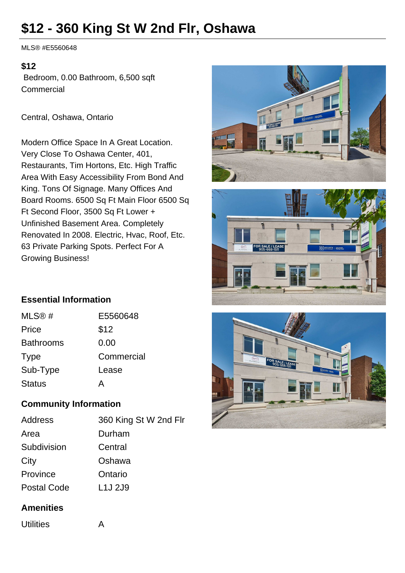# **\$12 - 360 King St W 2nd Flr, Oshawa**

MLS® #E5560648

#### **\$12**

 Bedroom, 0.00 Bathroom, 6,500 sqft **Commercial** 

Central, Oshawa, Ontario

Modern Office Space In A Great Location. Very Close To Oshawa Center, 401, Restaurants, Tim Hortons, Etc. High Traffic Area With Easy Accessibility From Bond And King. Tons Of Signage. Many Offices And Board Rooms. 6500 Sq Ft Main Floor 6500 Sq Ft Second Floor, 3500 Sq Ft Lower + Unfinished Basement Area. Completely Renovated In 2008. Electric, Hvac, Roof, Etc. 63 Private Parking Spots. Perfect For A Growing Business!





### **Essential Information**

| MLS@#            | E5560648   |
|------------------|------------|
| Price            | \$12       |
| <b>Bathrooms</b> | 0.00       |
| <b>Type</b>      | Commercial |
| Sub-Type         | Lease      |
| <b>Status</b>    | Д          |

#### **Community Information**

| <b>Address</b>     | 360 King St W 2nd Flr           |
|--------------------|---------------------------------|
| Area               | Durham                          |
| Subdivision        | Central                         |
| City               | Oshawa                          |
| Province           | Ontario                         |
| <b>Postal Code</b> | L <sub>1</sub> J <sub>2J9</sub> |
|                    |                                 |

#### **Amenities**

Utilities **A**